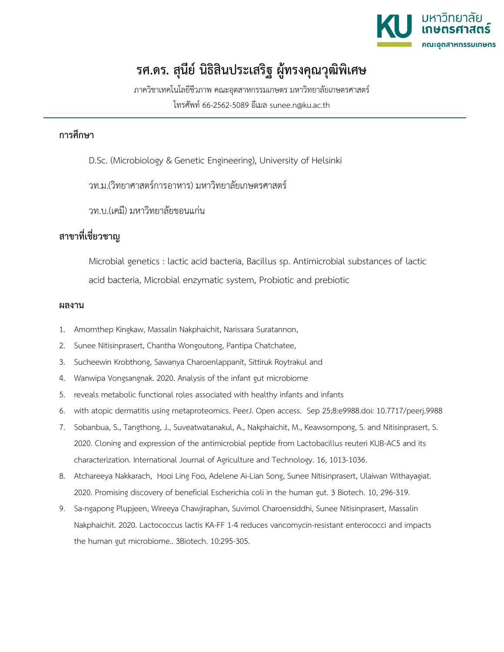

## **รศ.ดร. สุนีย์ นิธิสินประเสริฐ ผู้ทรงคุณวุฒิพิเศษ**

ภาควิชาเทคโนโลยีชีวภาพ คณะอุตสาหกรรมเกษตร มหาวิทยาลัยเกษตรศาสตร์ โทรศัพท์ 66-2562-5089 อีเมล sunee.n@ku.ac.th

## **การศึกษา**

- D.Sc. (Microbiology & Genetic Engineering), University of Helsinki
- วท.ม.(วิทยาศาสตร์การอาหาร) มหาวิทยาลัยเกษตรศาสตร์
- วท.บ.(เคมี) มหาวิทยาลัยขอนแก่น

## **สาขาที่เชี่ยวชาญ**

Microbial genetics : lactic acid bacteria, Bacillus sp. Antimicrobial substances of lactic acid bacteria, Microbial enzymatic system, Probiotic and prebiotic

## **ผลงาน**

- 1. Amornthep Kingkaw, Massalin Nakphaichit, Narissara Suratannon,
- 2. Sunee Nitisinprasert, Chantha Wongoutong, Pantipa Chatchatee,
- 3. Sucheewin Krobthong, Sawanya Charoenlappanit, Sittiruk Roytrakul and
- 4. Wanwipa Vongsangnak. 2020. Analysis of the infant gut microbiome
- 5. reveals metabolic functional roles associated with healthy infants and infants
- 6. with atopic dermatitis using metaproteomics. PeerJ. Open access. Sep 25;8:e9988.doi: 10.7717/peerj.9988
- 7. Sobanbua, S., Tangthong, J., Suveatwatanakul, A., Nakphaichit, M., Keawsompong, S. and Nitisinprasert, S. 2020. Cloning and expression of the antimicrobial peptide from Lactobacillus reuteri KUB-AC5 and its characterization. International Journal of Agriculture and Technology. 16, 1013-1036.
- 8. Atchareeya Nakkarach, Hooi Ling Foo, Adelene Ai-Lian Song, Sunee Nitisinprasert, Ulaiwan Withayagiat. 2020. Promising discovery of beneficial Escherichia coli in the human gut. 3 Biotech. 10, 296-319.
- 9. Sa-ngapong Plupjeen, Wireeya Chawjiraphan, Suvimol Charoensiddhi, Sunee Nitisinprasert, Massalin Nakphaichit. 2020. Lactococcus lactis KA-FF 1-4 reduces vancomycin-resistant enterococci and impacts the human gut microbiome.. 3Biotech. 10:295-305.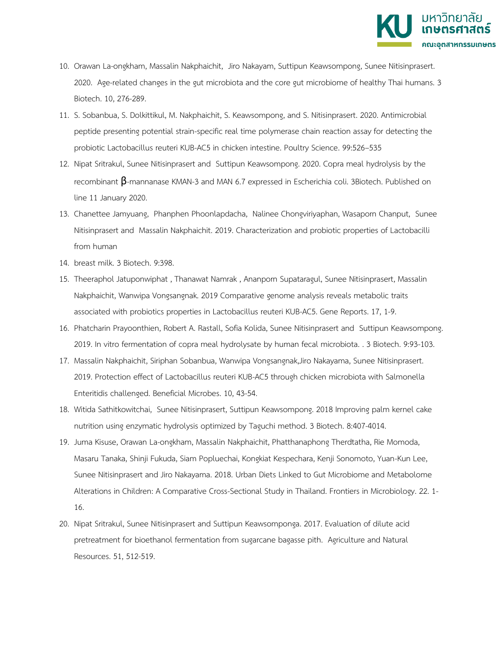

- 10. Orawan La-ongkham, Massalin Nakphaichit, Jiro Nakayam, Suttipun Keawsompong, Sunee Nitisinprasert. 2020. Age-related changes in the gut microbiota and the core gut microbiome of healthy Thai humans. 3 Biotech. 10, 276-289.
- 11. S. Sobanbua, S. Dolkittikul, M. Nakphaichit, S. Keawsompong, and S. Nitisinprasert. 2020. Antimicrobial peptide presenting potential strain-specific real time polymerase chain reaction assay for detecting the probiotic Lactobacillus reuteri KUB-AC5 in chicken intestine. Poultry Science. 99:526–535
- 12. Nipat Sritrakul, Sunee Nitisinprasert and Suttipun Keawsompong. 2020. Copra meal hydrolysis by the recombinant β-mannanase KMAN-3 and MAN 6.7 expressed in Escherichia coli. 3Biotech. Published on line 11 January 2020.
- 13. Chanettee Jamyuang, Phanphen Phoonlapdacha, Nalinee Chongviriyaphan, Wasaporn Chanput, Sunee Nitisinprasert and Massalin Nakphaichit. 2019. Characterization and probiotic properties of Lactobacilli from human
- 14. breast milk. 3 Biotech. 9:398.
- 15. Theeraphol Jatuponwiphat , Thanawat Namrak , Ananporn Supataragul, Sunee Nitisinprasert, Massalin Nakphaichit, Wanwipa Vongsangnak. 2019 Comparative genome analysis reveals metabolic traits associated with probiotics properties in Lactobacillus reuteri KUB-AC5. Gene Reports. 17, 1-9.
- 16. Phatcharin Prayoonthien, Robert A. Rastall, Sofia Kolida, Sunee Nitisinprasert and Suttipun Keawsompong. 2019. In vitro fermentation of copra meal hydrolysate by human fecal microbiota. . 3 Biotech. 9:93-103.
- 17. Massalin Nakphaichit, Siriphan Sobanbua, Wanwipa Vongsangnak,Jiro Nakayama, Sunee Nitisinprasert. 2019. Protection effect of Lactobacillus reuteri KUB-AC5 through chicken microbiota with Salmonella Enteritidis challenged. Beneficial Microbes. 10, 43-54.
- 18. Witida Sathitkowitchai, Sunee Nitisinprasert, Suttipun Keawsompong. 2018 Improving palm kernel cake nutrition using enzymatic hydrolysis optimized by Taguchi method. 3 Biotech. 8:407-4014.
- 19. Juma Kisuse, Orawan La-ongkham, Massalin Nakphaichit, Phatthanaphong Therdtatha, Rie Momoda, Masaru Tanaka, Shinji Fukuda, Siam Popluechai, Kongkiat Kespechara, Kenji Sonomoto, Yuan-Kun Lee, Sunee Nitisinprasert and Jiro Nakayama. 2018. Urban Diets Linked to Gut Microbiome and Metabolome Alterations in Children: A Comparative Cross-Sectional Study in Thailand. Frontiers in Microbiology. 22. 1- 16.
- 20. Nipat Sritrakul, Sunee Nitisinprasert and Suttipun Keawsomponga. 2017. Evaluation of dilute acid pretreatment for bioethanol fermentation from sugarcane bagasse pith. Agriculture and Natural Resources. 51, 512-519.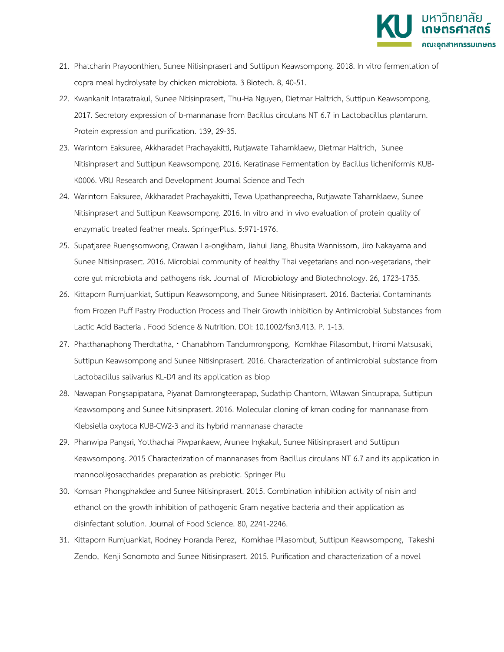

- 21. Phatcharin Prayoonthien, Sunee Nitisinprasert and Suttipun Keawsompong. 2018. In vitro fermentation of copra meal hydrolysate by chicken microbiota. 3 Biotech. 8, 40-51.
- 22. Kwankanit Intaratrakul, Sunee Nitisinprasert, Thu-Ha Nguyen, Dietmar Haltrich, Suttipun Keawsompong, 2017. Secretory expression of b-mannanase from Bacillus circulans NT 6.7 in Lactobacillus plantarum. Protein expression and purification. 139, 29-35.
- 23. Warintorn Eaksuree, Akkharadet Prachayakitti, Rutjawate Taharnklaew, Dietmar Haltrich, Sunee Nitisinprasert and Suttipun Keawsompong. 2016. Keratinase Fermentation by Bacillus licheniformis KUB-K0006. VRU Research and Development Journal Science and Tech
- 24. Warintorn Eaksuree, Akkharadet Prachayakitti, Tewa Upathanpreecha, Rutjawate Taharnklaew, Sunee Nitisinprasert and Suttipun Keawsompong. 2016. In vitro and in vivo evaluation of protein quality of enzymatic treated feather meals. SpringerPlus. 5:971-1976.
- 25. Supatjaree Ruengsomwong, Orawan La-ongkham, Jiahui Jiang, Bhusita Wannissorn, Jiro Nakayama and Sunee Nitisinprasert. 2016. Microbial community of healthy Thai vegetarians and non-vegetarians, their core gut microbiota and pathogens risk. Journal of Microbiology and Biotechnology. 26, 1723-1735.
- 26. Kittaporn Rumjuankiat, Suttipun Keawsompong, and Sunee Nitisinprasert. 2016. Bacterial Contaminants from Frozen Puff Pastry Production Process and Their Growth Inhibition by Antimicrobial Substances from Lactic Acid Bacteria . Food Science & Nutrition. DOI: 10.1002/fsn3.413. P. 1-13.
- 27. Phatthanaphong Therdtatha, Chanabhorn Tandumrongpong, Komkhae Pilasombut, Hiromi Matsusaki, Suttipun Keawsompong and Sunee Nitisinprasert. 2016. Characterization of antimicrobial substance from Lactobacillus salivarius KL-D4 and its application as biop
- 28. Nawapan Pongsapipatana, Piyanat Damrongteerapap, Sudathip Chantorn, Wilawan Sintuprapa, Suttipun Keawsompong and Sunee Nitisinprasert. 2016. Molecular cloning of kman coding for mannanase from Klebsiella oxytoca KUB-CW2-3 and its hybrid mannanase characte
- 29. Phanwipa Pangsri, Yotthachai Piwpankaew, Arunee Ingkakul, Sunee Nitisinprasert and Suttipun Keawsompong. 2015 Characterization of mannanases from Bacillus circulans NT 6.7 and its application in mannooligosaccharides preparation as prebiotic. Springer Plu
- 30. Komsan Phongphakdee and Sunee Nitisinprasert. 2015. Combination inhibition activity of nisin and ethanol on the growth inhibition of pathogenic Gram negative bacteria and their application as disinfectant solution. Journal of Food Science. 80, 2241-2246.
- 31. Kittaporn Rumjuankiat, Rodney Horanda Perez, Komkhae Pilasombut, Suttipun Keawsompong, Takeshi Zendo, Kenji Sonomoto and Sunee Nitisinprasert. 2015. Purification and characterization of a novel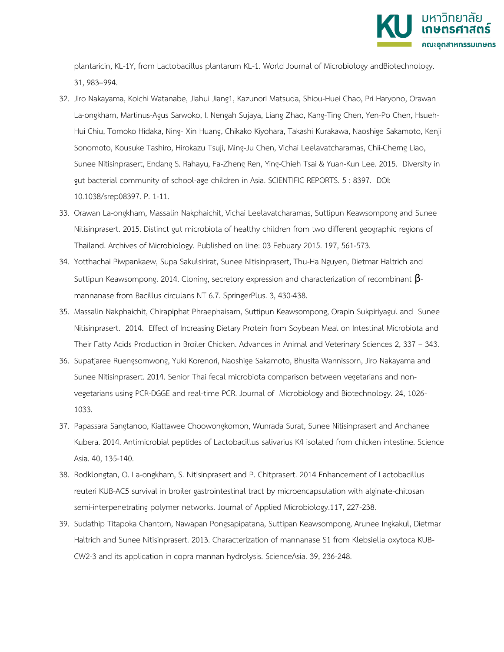

plantaricin, KL-1Y, from Lactobacillus plantarum KL-1. World Journal of Microbiology andBiotechnology. 31, 983–994.

- 32. Jiro Nakayama, Koichi Watanabe, Jiahui Jiang1, Kazunori Matsuda, Shiou-Huei Chao, Pri Haryono, Orawan La-ongkham, Martinus-Agus Sarwoko, I. Nengah Sujaya, Liang Zhao, Kang-Ting Chen, Yen-Po Chen, Hsueh-Hui Chiu, Tomoko Hidaka, Ning- Xin Huang, Chikako Kiyohara, Takashi Kurakawa, Naoshige Sakamoto, Kenji Sonomoto, Kousuke Tashiro, Hirokazu Tsuji, Ming-Ju Chen, Vichai Leelavatcharamas, Chii-Cherng Liao, Sunee Nitisinprasert, Endang S. Rahayu, Fa-Zheng Ren, Ying-Chieh Tsai & Yuan-Kun Lee. 2015. Diversity in gut bacterial community of school-age children in Asia. SCIENTIFIC REPORTS. 5 : 8397. DOI: 10.1038/srep08397. P. 1-11.
- 33. Orawan La-ongkham, Massalin Nakphaichit, Vichai Leelavatcharamas, Suttipun Keawsompong and Sunee Nitisinprasert. 2015. Distinct gut microbiota of healthy children from two different geographic regions of Thailand. Archives of Microbiology. Published on line: 03 Febuary 2015. 197, 561-573.
- 34. Yotthachai Piwpankaew, Supa Sakulsirirat, Sunee Nitisinprasert, Thu-Ha Nguyen, Dietmar Haltrich and Suttipun Keawsompong. 2014. Cloning, secretory expression and characterization of recombinant βmannanase from Bacillus circulans NT 6.7. SpringerPlus. 3, 430-438.
- 35. Massalin Nakphaichit, Chirapiphat Phraephaisarn, Suttipun Keawsompong, Orapin Sukpiriyagul and Sunee Nitisinprasert. 2014. Effect of Increasing Dietary Protein from Soybean Meal on Intestinal Microbiota and Their Fatty Acids Production in Broiler Chicken. Advances in Animal and Veterinary Sciences 2, 337 – 343.
- 36. Supatjaree Ruengsomwong, Yuki Korenori, Naoshige Sakamoto, Bhusita Wannissorn, Jiro Nakayama and Sunee Nitisinprasert. 2014. Senior Thai fecal microbiota comparison between vegetarians and nonvegetarians using PCR-DGGE and real-time PCR. Journal of Microbiology and Biotechnology. 24, 1026- 1033.
- 37. Papassara Sangtanoo, Kiattawee Choowongkomon, Wunrada Surat, Sunee Nitisinprasert and Anchanee Kubera. 2014. Antimicrobial peptides of Lactobacillus salivarius K4 isolated from chicken intestine. Science Asia. 40, 135-140.
- 38. Rodklongtan, O. La-ongkham, S. Nitisinprasert and P. Chitprasert. 2014 Enhancement of Lactobacillus reuteri KUB-AC5 survival in broiler gastrointestinal tract by microencapsulation with alginate-chitosan semi-interpenetrating polymer networks. Journal of Applied Microbiology.117, 227-238.
- 39. Sudathip Titapoka Chantorn, Nawapan Pongsapipatana, Suttipan Keawsompong, Arunee Ingkakul, Dietmar Haltrich and Sunee Nitisinprasert. 2013. Characterization of mannanase S1 from Klebsiella oxytoca KUB-CW2-3 and its application in copra mannan hydrolysis. ScienceAsia. 39, 236-248.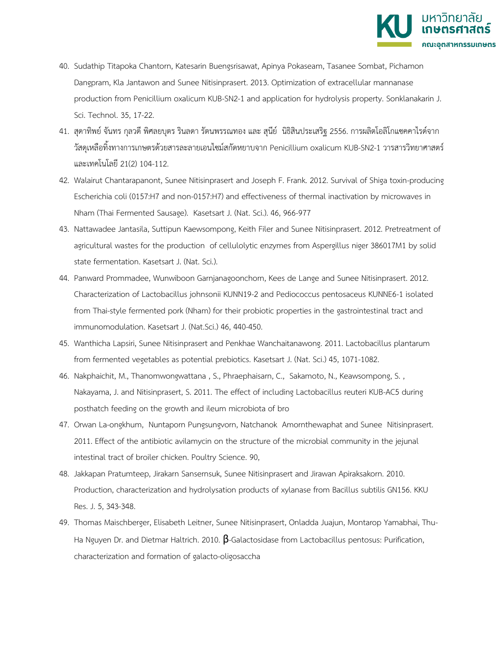

- 40. Sudathip Titapoka Chantorn, Katesarin Buengsrisawat, Apinya Pokaseam, Tasanee Sombat, Pichamon Dangpram, Kla Jantawon and Sunee Nitisinprasert. 2013. Optimization of extracellular mannanase production from Penicillium oxalicum KUB-SN2-1 and application for hydrolysis property. Sonklanakarin J. Sci. Technol. 35, 17-22.
- 41. สุดาทิพย์ จันทร กุลวดี พิศลยบุตร รินลดา รัตนพรรณทอง และ สุนีย์ นิธิสินประเสริฐ 2556. การผลิตโอลิโกแซคคาไรด์จาก วัสดุเหลือทิ้งทางการเกษตรด้วยสารละลายเอนไซม์สกัดหยาบจาก Penicillium oxalicum KUB-SN2-1 วารสารวิทยาศาสตร์ และเทคโนโลยี 21(2) 104-112.
- 42. Walairut Chantarapanont, Sunee Nitisinprasert and Joseph F. Frank. 2012. Survival of Shiga toxin-producing Escherichia coli (0157:H7 and non-0157:H7) and effectiveness of thermal inactivation by microwaves in Nham (Thai Fermented Sausage). Kasetsart J. (Nat. Sci.). 46, 966-977
- 43. Nattawadee Jantasila, Suttipun Kaewsompong, Keith Filer and Sunee Nitisinprasert. 2012. Pretreatment of agricultural wastes for the production of cellulolytic enzymes from Aspergillus niger 386017M1 by solid state fermentation. Kasetsart J. (Nat. Sci.).
- 44. Panward Prommadee, Wunwiboon Garnjanagoonchorn, Kees de Lange and Sunee Nitisinprasert. 2012. Characterization of Lactobacillus johnsonii KUNN19-2 and Pediococcus pentosaceus KUNNE6-1 isolated from Thai-style fermented pork (Nham) for their probiotic properties in the gastrointestinal tract and immunomodulation. Kasetsart J. (Nat.Sci.) 46, 440-450.
- 45. Wanthicha Lapsiri, Sunee Nitisinprasert and Penkhae Wanchaitanawong. 2011. Lactobacillus plantarum from fermented vegetables as potential prebiotics. Kasetsart J. (Nat. Sci.) 45, 1071-1082.
- 46. Nakphaichit, M., Thanomwongwattana , S., Phraephaisarn, C., Sakamoto, N., Keawsompong, S. , Nakayama, J. and Nitisinprasert, S. 2011. The effect of including Lactobacillus reuteri KUB-AC5 during posthatch feeding on the growth and ileum microbiota of bro
- 47. Orwan La-ongkhum, Nuntaporn Pungsungvorn, Natchanok Amornthewaphat and Sunee Nitisinprasert. 2011. Effect of the antibiotic avilamycin on the structure of the microbial community in the jejunal intestinal tract of broiler chicken. Poultry Science. 90,
- 48. Jakkapan Pratumteep, Jirakarn Sansernsuk, Sunee Nitisinprasert and Jirawan Apiraksakorn. 2010. Production, characterization and hydrolysation products of xylanase from Bacillus subtilis GN156. KKU Res. J. 5, 343-348.
- 49. Thomas Maischberger, Elisabeth Leitner, Sunee Nitisinprasert, Onladda Juajun, Montarop Yamabhai, Thu-Ha Nguyen Dr. and Dietmar Haltrich. 2010.  $\beta$ -Galactosidase from Lactobacillus pentosus: Purification, characterization and formation of galacto-oligosaccha